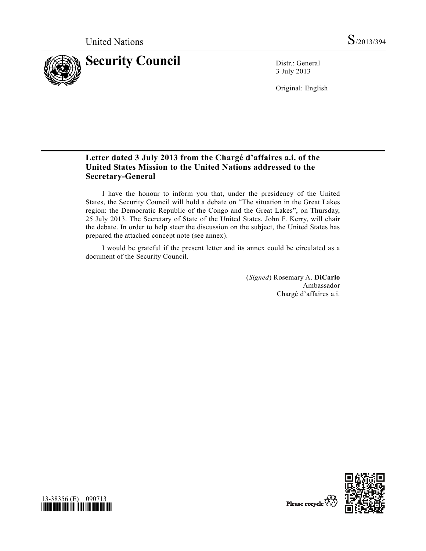

3 July 2013

Original: English

# **Letter dated 3 July 2013 from the Chargé d'affaires a.i. of the United States Mission to the United Nations addressed to the Secretary-General**

 I have the honour to inform you that, under the presidency of the United States, the Security Council will hold a debate on "The situation in the Great Lakes region: the Democratic Republic of the Congo and the Great Lakes", on Thursday, 25 July 2013. The Secretary of State of the United States, John F. Kerry, will chair the debate. In order to help steer the discussion on the subject, the United States has prepared the attached concept note (see annex).

 I would be grateful if the present letter and its annex could be circulated as a document of the Security Council.

> (*Signed*) Rosemary A. **DiCarlo**  Ambassador Chargé d'affaires a.i.



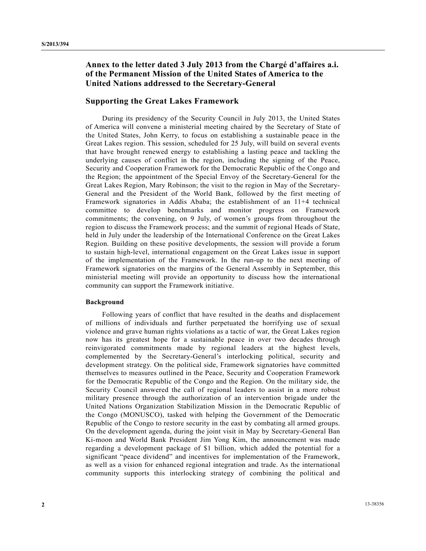## **Annex to the letter dated 3 July 2013 from the Chargé d'affaires a.i. of the Permanent Mission of the United States of America to the United Nations addressed to the Secretary-General**

### **Supporting the Great Lakes Framework**

 During its presidency of the Security Council in July 2013, the United States of America will convene a ministerial meeting chaired by the Secretary of State of the United States, John Kerry, to focus on establishing a sustainable peace in the Great Lakes region. This session, scheduled for 25 July, will build on several events that have brought renewed energy to establishing a lasting peace and tackling the underlying causes of conflict in the region, including the signing of the Peace, Security and Cooperation Framework for the Democratic Republic of the Congo and the Region; the appointment of the Special Envoy of the Secretary-General for the Great Lakes Region, Mary Robinson; the visit to the region in May of the Secretary-General and the President of the World Bank, followed by the first meeting of Framework signatories in Addis Ababa; the establishment of an 11+4 technical committee to develop benchmarks and monitor progress on Framework commitments; the convening, on 9 July, of women's groups from throughout the region to discuss the Framework process; and the summit of regional Heads of State, held in July under the leadership of the International Conference on the Great Lakes Region. Building on these positive developments, the session will provide a forum to sustain high-level, international engagement on the Great Lakes issue in support of the implementation of the Framework. In the run-up to the next meeting of Framework signatories on the margins of the General Assembly in September, this ministerial meeting will provide an opportunity to discuss how the international community can support the Framework initiative.

#### **Background**

 Following years of conflict that have resulted in the deaths and displacement of millions of individuals and further perpetuated the horrifying use of sexual violence and grave human rights violations as a tactic of war, the Great Lakes region now has its greatest hope for a sustainable peace in over two decades through reinvigorated commitments made by regional leaders at the highest levels, complemented by the Secretary-General's interlocking political, security and development strategy. On the political side, Framework signatories have committed themselves to measures outlined in the Peace, Security and Cooperation Framework for the Democratic Republic of the Congo and the Region. On the military side, the Security Council answered the call of regional leaders to assist in a more robust military presence through the authorization of an intervention brigade under the United Nations Organization Stabilization Mission in the Democratic Republic of the Congo (MONUSCO), tasked with helping the Government of the Democratic Republic of the Congo to restore security in the east by combating all armed groups. On the development agenda, during the joint visit in May by Secretary-General Ban Ki-moon and World Bank President Jim Yong Kim, the announcement was made regarding a development package of \$1 billion, which added the potential for a significant "peace dividend" and incentives for implementation of the Framework, as well as a vision for enhanced regional integration and trade. As the international community supports this interlocking strategy of combining the political and